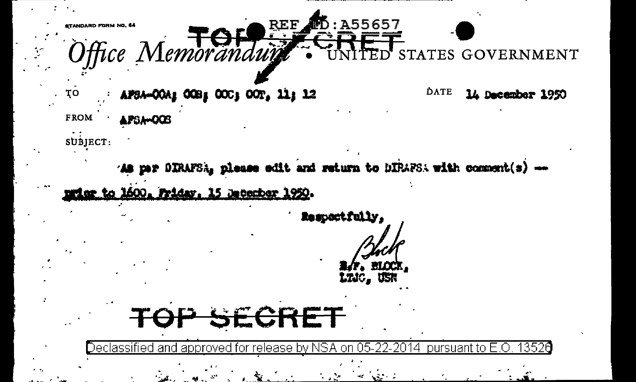REF TO A55657 TANDARD FORM NO. 64 Office Memoranduit **GOVERNMENT** STATES. τō APSA-COA2 COB2 COC2 COT, 11: 12 DATE 14 December 1950 **FROM APSA-OOS** subject: As par DIRAFSA, please edit and return to DIRAPSA with comment(s) -riar to 1600, Friday, 15 Jacocher 1950. Respectfully, LTJC. USI SECRET Decla<u>ssified and approved for release by NSA</u> pursuant to -3526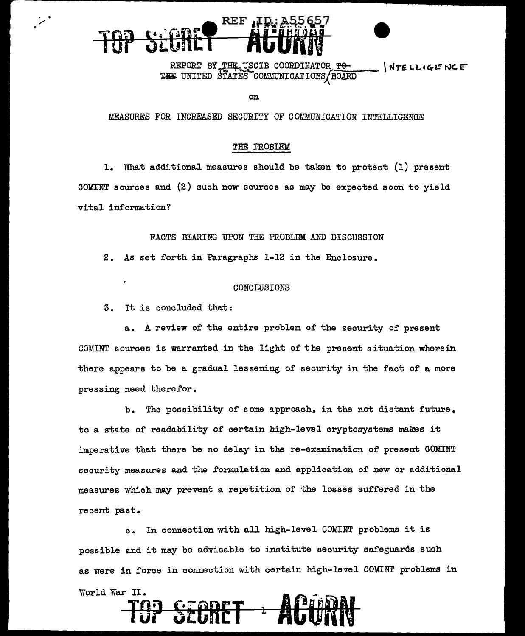# REF

REPORT BY THE USCIB COORDINATOR TO **INTELLIGENCE** THE UNITED STATES COMMUNICATIONS BOARD

on

### MEASURES FOR INCREASED SECURITY OF COLMUNICATION INTELLIGENCE

#### THE PROBLEM

1. What additional measures should be taken to protect (1) present COMINT sources and (2) such new sources as may be expected soon to yield vital information?

#### FACTS BEARING UPON THE PROBLEM AND DISCUSSION

2. As set forth in Paragraphs 1-12 in the Enclosure.

#### CONCLUSIONS

3. It is concluded that:

 $\ddot{\phantom{1}}$ 

a. A review of the entire problem of the security of present COMINT sources is warranted in the light of the present situation wherein there appears to be a gradual lessening of security in the fact of a more pressing need therefor.

The possibility of some approach, in the not distant future.  $b<sub>1</sub>$ to a state of readability of certain high-level cryptosystems makes it imperative that there be no delay in the re-examination of present COMINT security measures and the formulation and application of new or additional measures which may prevent a repetition of the losses suffered in the recent past.

In connection with all high-level COMINT problems it is  $c_{\bullet}$ possible and it may be advisable to institute security safeguards such as were in force in connection with certain high-level COMINT problems in World War II.

FORET 1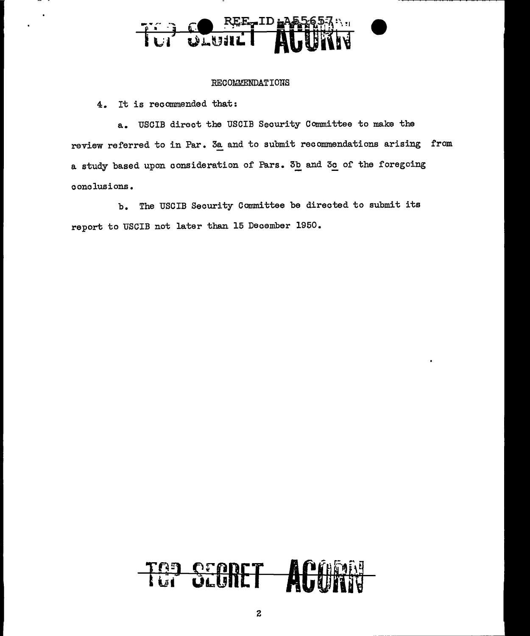## TO WWW.

#### RECOMMENDATIONS

4. It is recommended that:

a. USCIB direct the USCIB Security Committee to make the review referred to in Par. 3a and to submit recommendations arising from a study based upon consideration of Pars. 3b and 3c of the foregoing conclusions.

b. The USCIB Security Committee be directed to submit its report to USCIB not later than 15 December 1950.

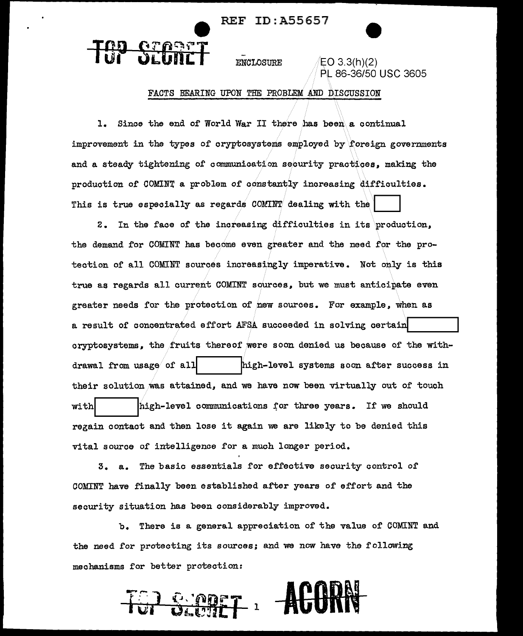REF ID:A55657

ENCLOSURE  $\sqrt{E}$ CO 3.3(h)(2)

**ATABET** 

PL 86-36/50 USC 3605

#### FACTS BEARING UPON THE PROBLEM AND DISCUSSION

1. Since the end of World War II there has been a continual improvement in the types of cryptosystems employed by foreign governments and a steady tightening of communication security practices, making the production of COMINT a problem of constantly increasing difficulties. This is true especially as regards COMINT dealing with the

2. In the face of the increasing difficulties in its production, the demand for COMINT has become even greater and the need for the protection of all COMINT sources increasingly imperative. Not only is this true as regards all current COMINT sources\_, but we must anticipate even greater needs for the protection of new sources. For example, when as a result of concentrated effort AFSA succeeded in solving certain cryptosystems., the fruits thereof were soon denied us because of the withdrawal from usage of all  $\hbar$  . high-level systems soon after success in their solution was attained, and we have now been virtually out of touch with  $\parallel$  high-level communications for three years. If we should regain contact and then lose it again we are likely to be denied this vital source of intelligence for a much longer period.

3. a. The basic essentials for effective security control of COMINT have finally been established after years of effort and the security situation has been considerably improved.

b. There is a general appreciation of the value of COMINT and the need for protecting its sources; and we now have the following mechanisms for better protection:

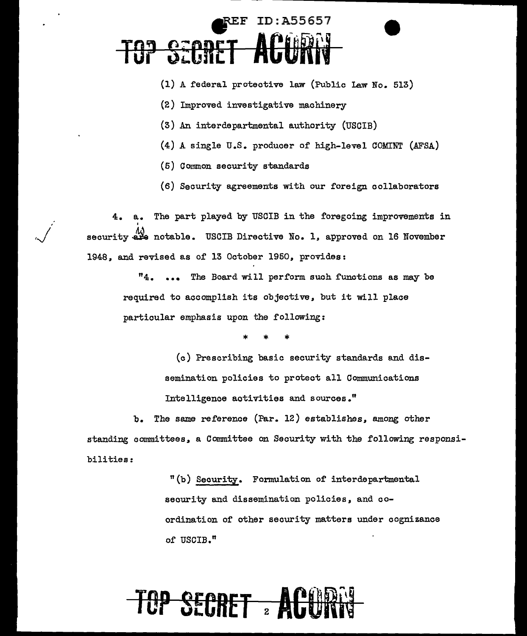### *REF ID: A55657* TO? SECRET **ACUR't**

- $(1)$  A federal protective law (Public Law No. 513)
- (2) Improved investigative machinery
- (3) An interdepartmental authority (USCIB)
- $(4)$  A single U.S. producer of high-level COMINT (AFSA)
- (5) Common security standards
- (6) Security agreements with our foreign collaborators

a. The part played by USCIB in the foregoing improvements in I security are notable. USCIB Directive No. 1, approved on 16 November 1948, and revised as of 13 October 1950, provides:

> "4. ... The Board will perform such functions as may be required to accomplish its objective. but it will place particular emphasis upon the following:

> > \* \* \*

(c) Prescribing basic security standards and dissemination policies to protect all Communications Intelligence activities and sources."

b. The same reference (Par. 12) establishes. among other standing committees. a Committee on Security with the following responsibilities:

> "(b) Security. Formulation of interdepartmental security and dissemination policies, and coordination of other security matters under cognizance of USCIB."

## **TOP SECRET 2 A**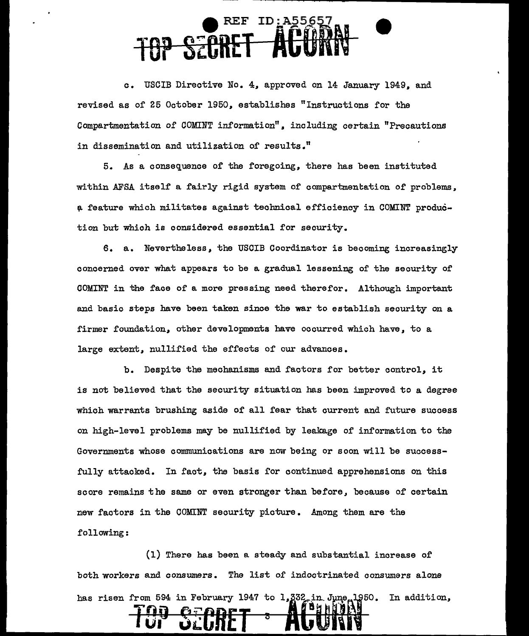### **e** REF ID:A55657 **TOP S'CRET ACORN**

c. USCIB Directive No. 4, approved on 14 January 1949. and revised as of 25 October 1950,, establishes "Instructions for the Compartmentation of COMINT information",, including certain "Precautions in dissemination and utilization of results."

5. As a consequence of the foregoing,, there has been instituted within AFSA itself a fairly rigid system of compartmentation of problems, a feature which militates against technical efficiency in COMINT production but which is considered essential for security.

6. a. Nevertheless, the USCIB Coordinator is becoming increasingly concerned over what appears to be a gradual lessening of the security of OOMINT in the face or a more pressing need therefor. Although important and basic steps have been taken since the war to establish security on a firmer foundation, other developments have occurred which have, to a large extent, nullified the effects of our advances.

b. Despite the mechanisms and factors for better control, it is not believed that the security situation has been improved to a degree which warrants brushing aside of all fear that current and future success on high-level problems may be nullified by leakage of information to the Governments whose communications are now being or soon will be successfully attacked. In fact, the basis for continued apprehensions on this score remains the same or even stronger than before, because of certain new factors in the COMINT security picture. Among them are the following:

(1) There has been a steady and substantial increase of both workers and consumers. The list of indoctrinated consumers alone has risen from 594 in February 1947 to 1,332 in June 1950. In addition,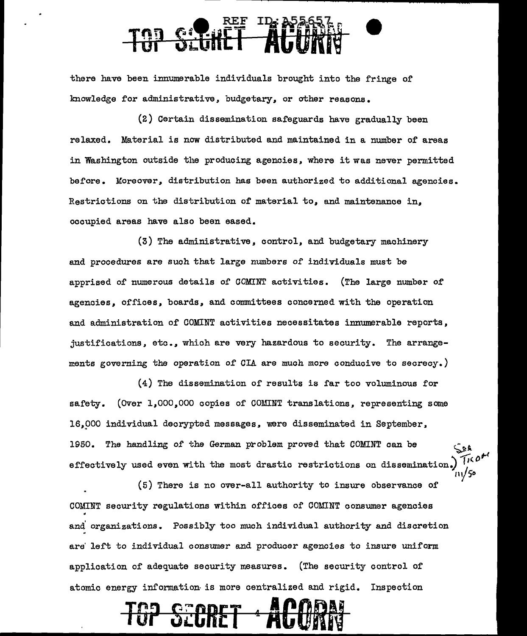there have been innumerable individuals brought into the fringe of knowledge for administrative, budgetary, or other reasons.

(2) Certain dissemination safeguards have gradually been relaxed. Material is now distributed and maintained in a number of areas in Washington outside the producing agencies, where it was never permitted before. Moreover, distribution has been authorized to additional agencies. Restrictions on the distribution of material to, and maintenance in, occupied areas have also been eased.

(3) The administrative, control, and budgetary machinery and procedures are such that large numbers of individuals must be apprised of numerous details of COMINT activities. (The large number of agencies, offices, boards, and connnittees concerned with the operation and administration of COMINT activities necessitates innumerable reports, justifications, etc., which are very hazardous to security. The arrangements governing the operation of CIA are much more conducive to secrecy.)

(4) The dissemination of results is far too voluminous for safety. (Over 1,000,000 copies of COMINT translations. representing some 16.000 individual decrypted messages, were disseminated in September, 1950. The handling of the German problem proved that COMINT can be  $\frac{\zeta_{\rm B}}{\zeta_{\rm L}}$ effectively used even with the most drastic restrictions on dissemination.) *'J'- <sup>0</sup>*

"Y *50* 

(5) There is no over-all authority to insure observance of COMINT security regulations within offices of COMINT consumer agencies . and organizations. Possibly too much individual authority and discretion are' left to individual consumer and producer agencies to insure uniform application of adequate security measures. (The security control of atomic energy information is more centralized and rigid. Inspection

TG? **S'CRET i ACORN**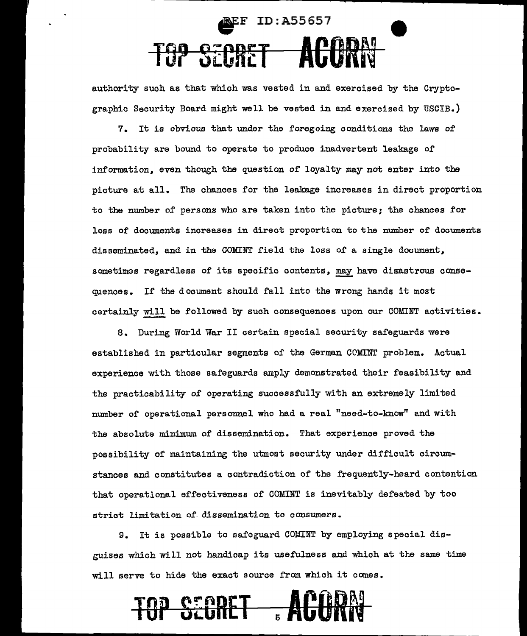## EF ID:A55657 T3P StCRCT **ACORN**

authority such as that which was vested in and exercised by the Cryptographic Security Board might well be vested in and exercised by USCIB.)

7. It is obvious that under the foregoing conditions the laws of probability are bound to operate to produce inadvertent leakage of information, even though the question of loyalty may not enter into the picture at all. The chances for the leakage increases in direct proportion to the number of persons who are taken into the picture; the chances for loss of documents increases in direct proportion to the number of documents disseminated, and in the COMINT field the loss of a single document, sometimos regardless of its specific contents, may have disastrous consequences. If the document should fall into the wrong hands it most certainly will be followed by such consequences upon our COMINT activities.

8. During World War II certain special security safeguards were established in particular segments of the German CCMINT problem. Actual experience with those safeguards amply demonstrated their feasibility and the practicability of operating successfully with an extremely limited number of operational personnel who had a real "need-to-know" and with the absolute minimum of dissemination. That experience proved the possibility of maintaining the utmost security under difficult circumstances and constitutes a contradiction of the frequently-heard contention that operational effectiveness of COMINT is inevitably defeated by too strict limitation of dissemination to consumers.

9. It is possible to safeguard COMINT by employing special disguises which will not handicap its usefulness and which at the same time will serve to hide the exact source from which it comes.

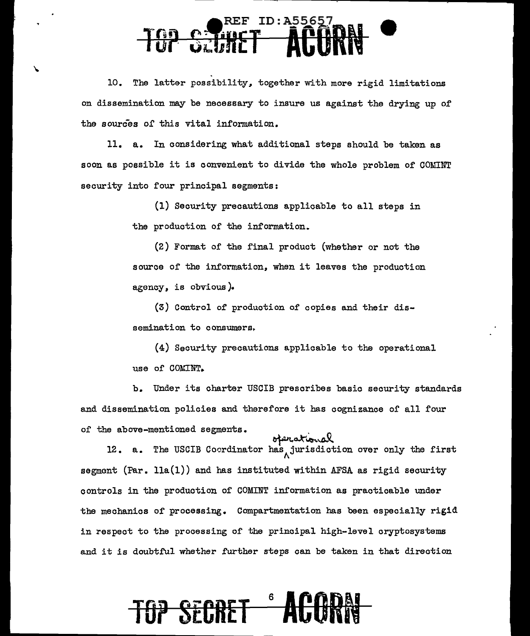### ID: A55657 TOP SCURET **ACORN**

10. The latter possibility, together with more rigid limitations on dissemination may be necessary to insure us against the drying up of the sources of this vital information.

11. a. In considering what additional steps should be taken as soon as possible it is convenient to divide the whole problem of COMINT security into four principal segments:

> (1) Security precautions applicable to all steps in the production of the information.

(2) Format of the final product (whether or not the source of the information, when it leaves the production agency, is obvious).

(3) Control of production 0£ copies and their dissemination to consumers.

(4) Security precautions applicable to the operational use of COMINT.

b. Under its charter USCIB prescribes basic security standards and dissemination policies and therefore it has cognizance of all four of the above-mentioned segments.

w divide montions abundance of the variance of the condinator has jurisdiction over only the first segment (Par.  $11a(1)$ ) and has instituted within AFSA as rigid security controls in the production of COMINT information as practicable under the mechanics of processing. Compartmentation has been especially rigid in respect to the processing of the principal high-level cryptosystems and it is doubtful whether further steps can be taken in that direction